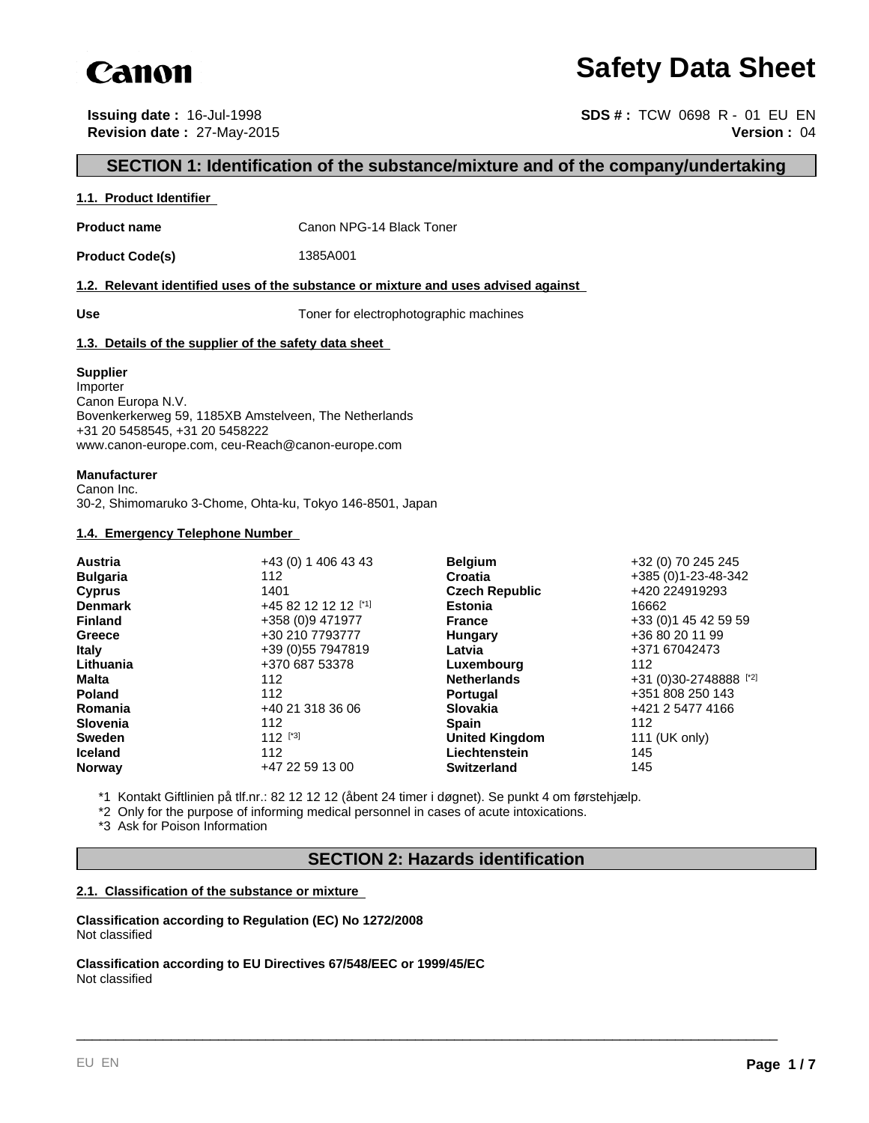

# **Safety Data Sheet**

**Issuing date :** 16-Jul-1998 **SDS # :** TCW 0698 R - 01 EU EN **Revision date :** 27-May-2015 **Version :** 04

# **SECTION 1: Identification of the substance/mixture and of the company/undertaking**

#### **1.1. Product Identifier**

**Product name** Canon NPG-14 Black Toner

**Product Code(s)** 1385A001

#### **1.2. Relevant identified uses of the substance or mixture and uses advised against**

Use Use **Use** Toner for electrophotographic machines

#### **1.3. Details of the supplier of the safety data sheet**

#### **Supplier**

Importer Canon Europa N.V. Bovenkerkerweg 59, 1185XB Amstelveen, The Netherlands +31 20 5458545, +31 20 5458222 www.canon-europe.com, ceu-Reach@canon-europe.com

#### **Manufacturer**

Canon Inc. 30-2, Shimomaruko 3-Chome, Ohta-ku, Tokyo 146-8501, Japan

#### **1.4. Emergency Telephone Number**

\*1 Kontakt Giftlinien på tlf.nr.: 82 12 12 12 (åbent 24 timer i døgnet). Se punkt 4 om førstehjælp.

\*2 Only for the purpose of informing medical personnel in cases of acute intoxications.

\*3 Ask for Poison Information

# **SECTION 2: Hazards identification**

\_\_\_\_\_\_\_\_\_\_\_\_\_\_\_\_\_\_\_\_\_\_\_\_\_\_\_\_\_\_\_\_\_\_\_\_\_\_\_\_\_\_\_\_\_\_\_\_\_\_\_\_\_\_\_\_\_\_\_\_\_\_\_\_\_\_\_\_\_\_\_\_\_\_\_\_\_\_\_\_\_\_\_\_\_\_\_\_\_

#### **2.1. Classification of the substance or mixture**

**Classification according to Regulation (EC) No 1272/2008** Not classified

**Classification according to EU Directives 67/548/EEC or 1999/45/EC** Not classified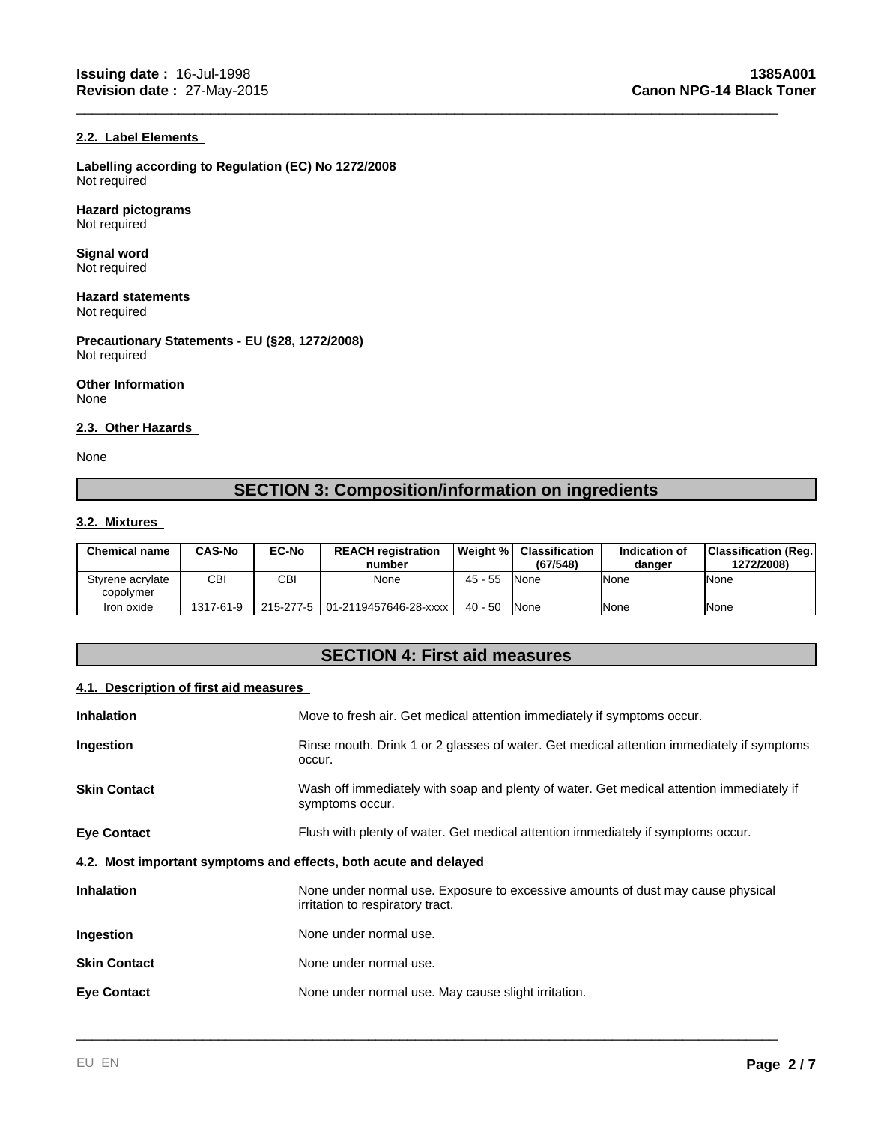#### **2.2. Label Elements**

**Labelling according to Regulation (EC) No 1272/2008** Not required

**Hazard pictograms** Not required

**Signal word** Not required

**Hazard statements** Not required

**Precautionary Statements - EU (§28, 1272/2008)** Not required

**Other Information** None

#### **2.3. Other Hazards**

None

# **SECTION 3: Composition/information on ingredients**

\_\_\_\_\_\_\_\_\_\_\_\_\_\_\_\_\_\_\_\_\_\_\_\_\_\_\_\_\_\_\_\_\_\_\_\_\_\_\_\_\_\_\_\_\_\_\_\_\_\_\_\_\_\_\_\_\_\_\_\_\_\_\_\_\_\_\_\_\_\_\_\_\_\_\_\_\_\_\_\_\_\_\_\_\_\_\_\_\_

#### **3.2. Mixtures**

| <b>Chemical name</b>          | CAS-No    | <b>EC-No</b> | <b>REACH registration</b><br>number | l Weiaht % l | <b>Classification</b><br>(67/548) | Indication of<br>danger | <b>Classification (Reg.)</b><br>1272/2008) |
|-------------------------------|-----------|--------------|-------------------------------------|--------------|-----------------------------------|-------------------------|--------------------------------------------|
| Styrene acrylate<br>copolymer | CBI       | CBI          | None                                | $45 - 55$    | <b>INone</b>                      | lNone                   | None                                       |
| Iron oxide                    | 1317-61-9 |              | 215-277-5 01-2119457646-28-xxxx     | $40 - 50$    | <b>None</b>                       | <b>INone</b>            | None                                       |

# **SECTION 4: First aid measures**

#### **4.1. Description of first aid measures**

| <b>Inhalation</b>                                                | Move to fresh air. Get medical attention immediately if symptoms occur.                                             |
|------------------------------------------------------------------|---------------------------------------------------------------------------------------------------------------------|
| Ingestion                                                        | Rinse mouth. Drink 1 or 2 glasses of water. Get medical attention immediately if symptoms<br>occur.                 |
| <b>Skin Contact</b>                                              | Wash off immediately with soap and plenty of water. Get medical attention immediately if<br>symptoms occur.         |
| <b>Eye Contact</b>                                               | Flush with plenty of water. Get medical attention immediately if symptoms occur.                                    |
| 4.2. Most important symptoms and effects, both acute and delayed |                                                                                                                     |
| <b>Inhalation</b>                                                | None under normal use. Exposure to excessive amounts of dust may cause physical<br>irritation to respiratory tract. |
| Ingestion                                                        | None under normal use.                                                                                              |
| <b>Skin Contact</b>                                              | None under normal use.                                                                                              |
| <b>Eye Contact</b>                                               | None under normal use. May cause slight irritation.                                                                 |
|                                                                  |                                                                                                                     |

\_\_\_\_\_\_\_\_\_\_\_\_\_\_\_\_\_\_\_\_\_\_\_\_\_\_\_\_\_\_\_\_\_\_\_\_\_\_\_\_\_\_\_\_\_\_\_\_\_\_\_\_\_\_\_\_\_\_\_\_\_\_\_\_\_\_\_\_\_\_\_\_\_\_\_\_\_\_\_\_\_\_\_\_\_\_\_\_\_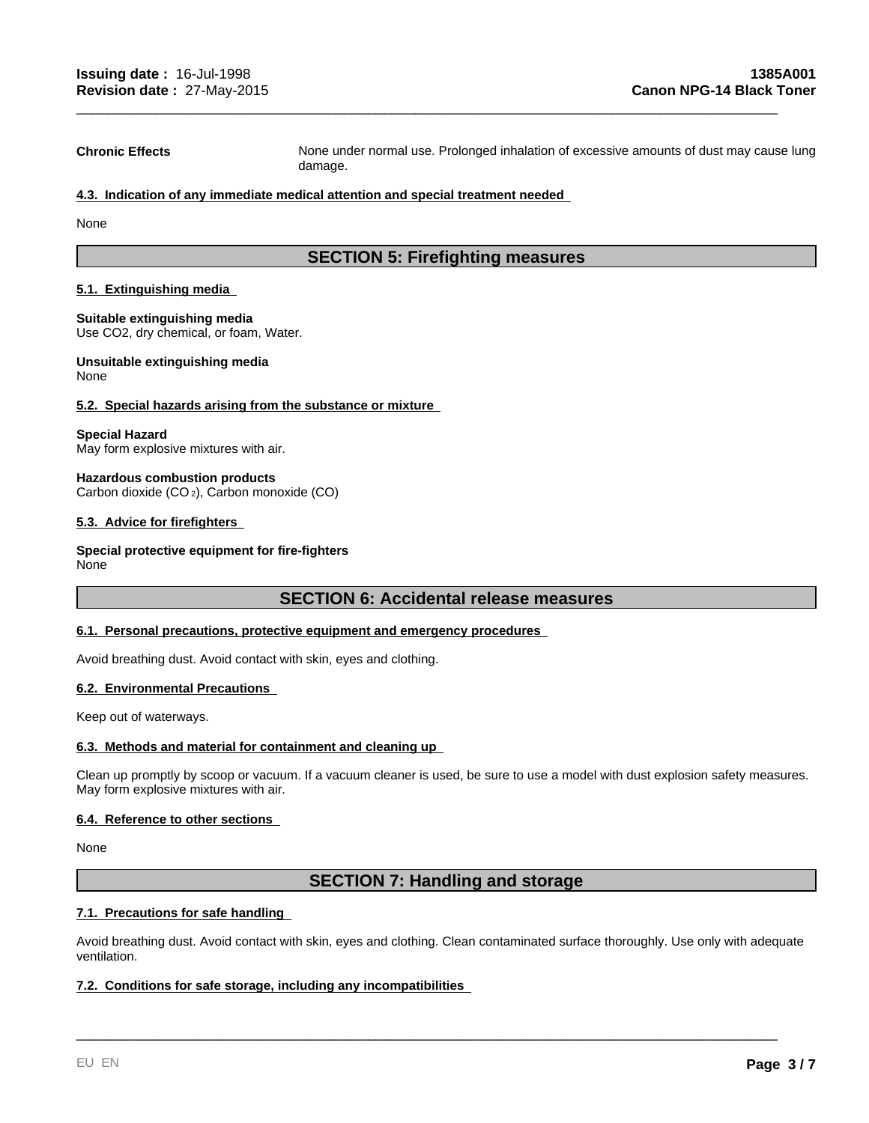**Chronic Effects** None under normal use. Prolonged inhalation of excessive amounts of dust may cause lung damage.

\_\_\_\_\_\_\_\_\_\_\_\_\_\_\_\_\_\_\_\_\_\_\_\_\_\_\_\_\_\_\_\_\_\_\_\_\_\_\_\_\_\_\_\_\_\_\_\_\_\_\_\_\_\_\_\_\_\_\_\_\_\_\_\_\_\_\_\_\_\_\_\_\_\_\_\_\_\_\_\_\_\_\_\_\_\_\_\_\_

#### **4.3. Indication of any immediate medical attention and special treatment needed**

None

# **SECTION 5: Firefighting measures**

#### **5.1. Extinguishing media**

**Suitable extinguishing media** Use CO2, dry chemical, or foam, Water.

#### **Unsuitable extinguishing media** None

#### **5.2. Special hazards arising from the substance or mixture**

### **Special Hazard**

May form explosive mixtures with air.

#### **Hazardous combustion products** Carbon dioxide (CO 2), Carbon monoxide (CO)

#### **5.3. Advice for firefighters**

#### **Special protective equipment for fire-fighters** None

#### **SECTION 6: Accidental release measures**

# **6.1. Personal precautions, protective equipment and emergency procedures**

Avoid breathing dust. Avoid contact with skin, eyes and clothing.

#### **6.2. Environmental Precautions**

Keep out of waterways.

#### **6.3. Methods and material for containment and cleaning up**

Clean up promptly by scoop or vacuum. If a vacuum cleaner is used, be sure to use a model with dust explosion safety measures. May form explosive mixtures with air.

#### **6.4. Reference to other sections**

None

# **SECTION 7: Handling and storage**

#### **7.1. Precautions for safe handling**

Avoid breathing dust. Avoid contact with skin, eyes and clothing. Clean contaminated surface thoroughly. Use only with adequate ventilation.

\_\_\_\_\_\_\_\_\_\_\_\_\_\_\_\_\_\_\_\_\_\_\_\_\_\_\_\_\_\_\_\_\_\_\_\_\_\_\_\_\_\_\_\_\_\_\_\_\_\_\_\_\_\_\_\_\_\_\_\_\_\_\_\_\_\_\_\_\_\_\_\_\_\_\_\_\_\_\_\_\_\_\_\_\_\_\_\_\_

#### **7.2. Conditions for safe storage, including any incompatibilities**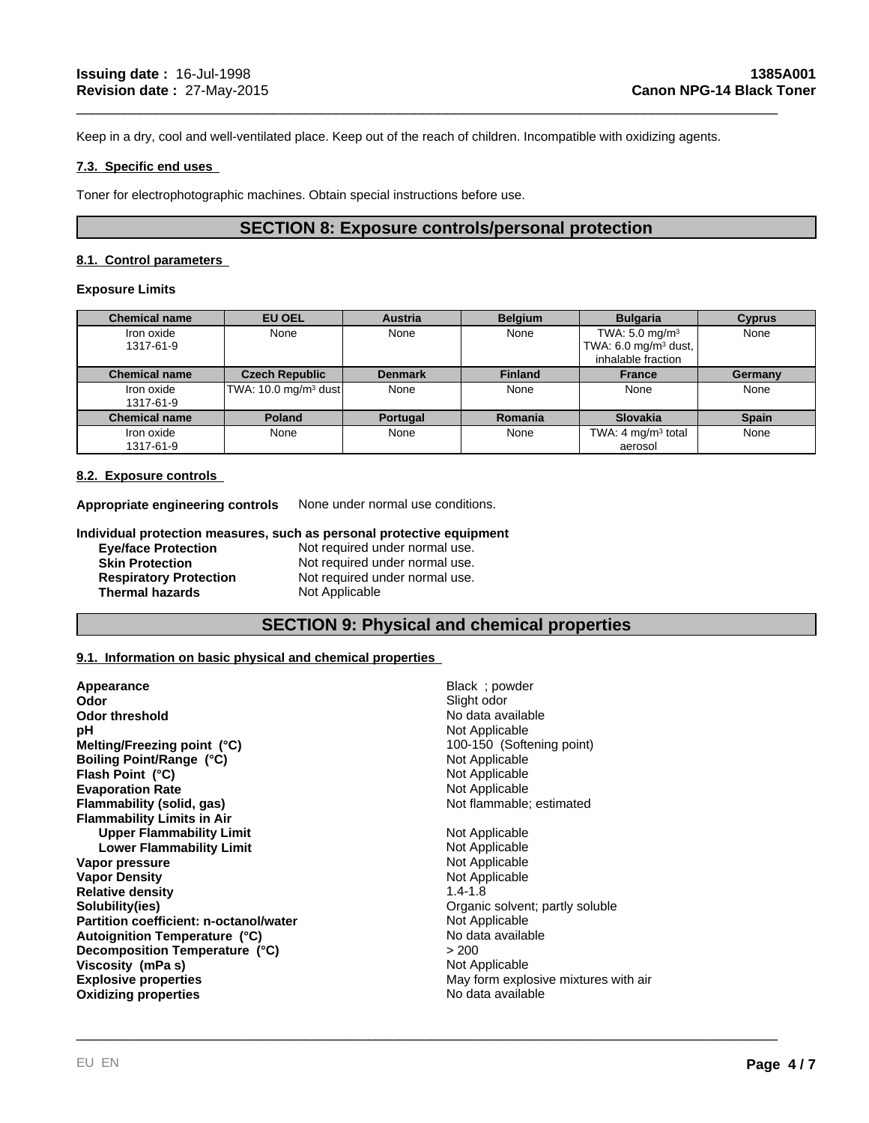Keep in a dry, cool and well-ventilated place. Keep out of the reach of children. Incompatible with oxidizing agents.

#### **7.3. Specific end uses**

Toner for electrophotographic machines. Obtain special instructions before use.

# **SECTION 8: Exposure controls/personal protection**

\_\_\_\_\_\_\_\_\_\_\_\_\_\_\_\_\_\_\_\_\_\_\_\_\_\_\_\_\_\_\_\_\_\_\_\_\_\_\_\_\_\_\_\_\_\_\_\_\_\_\_\_\_\_\_\_\_\_\_\_\_\_\_\_\_\_\_\_\_\_\_\_\_\_\_\_\_\_\_\_\_\_\_\_\_\_\_\_\_

#### **8.1. Control parameters**

#### **Exposure Limits**

| <b>Chemical name</b>    | <b>EU OEL</b>                    | <b>Austria</b> | <b>Belgium</b> | <b>Bulgaria</b>                                                                    | <b>Cyprus</b> |
|-------------------------|----------------------------------|----------------|----------------|------------------------------------------------------------------------------------|---------------|
| Iron oxide<br>1317-61-9 | None                             | None           | None           | TWA: $5.0 \text{ mg/m}^3$<br>TWA: $6.0 \text{ mg/m}^3$ dust,<br>inhalable fraction | None          |
| <b>Chemical name</b>    | <b>Czech Republic</b>            | <b>Denmark</b> | <b>Finland</b> | <b>France</b>                                                                      | Germany       |
| Iron oxide<br>1317-61-9 | TWA: 10.0 mg/m <sup>3</sup> dust | None           | None           | None                                                                               | None          |
| <b>Chemical name</b>    | <b>Poland</b>                    | Portugal       | Romania        | <b>Slovakia</b>                                                                    | <b>Spain</b>  |
| Iron oxide<br>1317-61-9 | None                             | None           | None           | TWA: 4 $mg/m3$ total<br>aerosol                                                    | None          |

#### **8.2. Exposure controls**

**Appropriate engineering controls** None under normal use conditions.

#### **Individual protection measures, such as personal protective equipment**

| <b>Eve/face Protection</b>    | Not required under normal use. |
|-------------------------------|--------------------------------|
| <b>Skin Protection</b>        | Not required under normal use. |
| <b>Respiratory Protection</b> | Not required under normal use. |
| <b>Thermal hazards</b>        | Not Applicable                 |

# **SECTION 9: Physical and chemical properties**

\_\_\_\_\_\_\_\_\_\_\_\_\_\_\_\_\_\_\_\_\_\_\_\_\_\_\_\_\_\_\_\_\_\_\_\_\_\_\_\_\_\_\_\_\_\_\_\_\_\_\_\_\_\_\_\_\_\_\_\_\_\_\_\_\_\_\_\_\_\_\_\_\_\_\_\_\_\_\_\_\_\_\_\_\_\_\_\_\_

#### **9.1. Information on basic physical and chemical properties**

| Appearance                             | Black; powder                        |
|----------------------------------------|--------------------------------------|
| Odor                                   | Slight odor                          |
| <b>Odor threshold</b>                  | No data available                    |
| рH                                     | Not Applicable                       |
| Melting/Freezing point (°C)            | 100-150 (Softening point)            |
| Boiling Point/Range (°C)               | Not Applicable                       |
| Flash Point (°C)                       | Not Applicable                       |
| <b>Evaporation Rate</b>                | Not Applicable                       |
| Flammability (solid, gas)              | Not flammable; estimated             |
| <b>Flammability Limits in Air</b>      |                                      |
| <b>Upper Flammability Limit</b>        | Not Applicable                       |
| Lower Flammability Limit               | Not Applicable                       |
| Vapor pressure                         | Not Applicable                       |
| <b>Vapor Density</b>                   | Not Applicable                       |
| <b>Relative density</b>                | $1.4 - 1.8$                          |
| Solubility(ies)                        | Organic solvent; partly soluble      |
| Partition coefficient: n-octanol/water | Not Applicable                       |
| Autoignition Temperature (°C)          | No data available                    |
| Decomposition Temperature (°C)         | > 200                                |
| Viscosity (mPa s)                      | Not Applicable                       |
| <b>Explosive properties</b>            | May form explosive mixtures with air |
| <b>Oxidizing properties</b>            | No data available                    |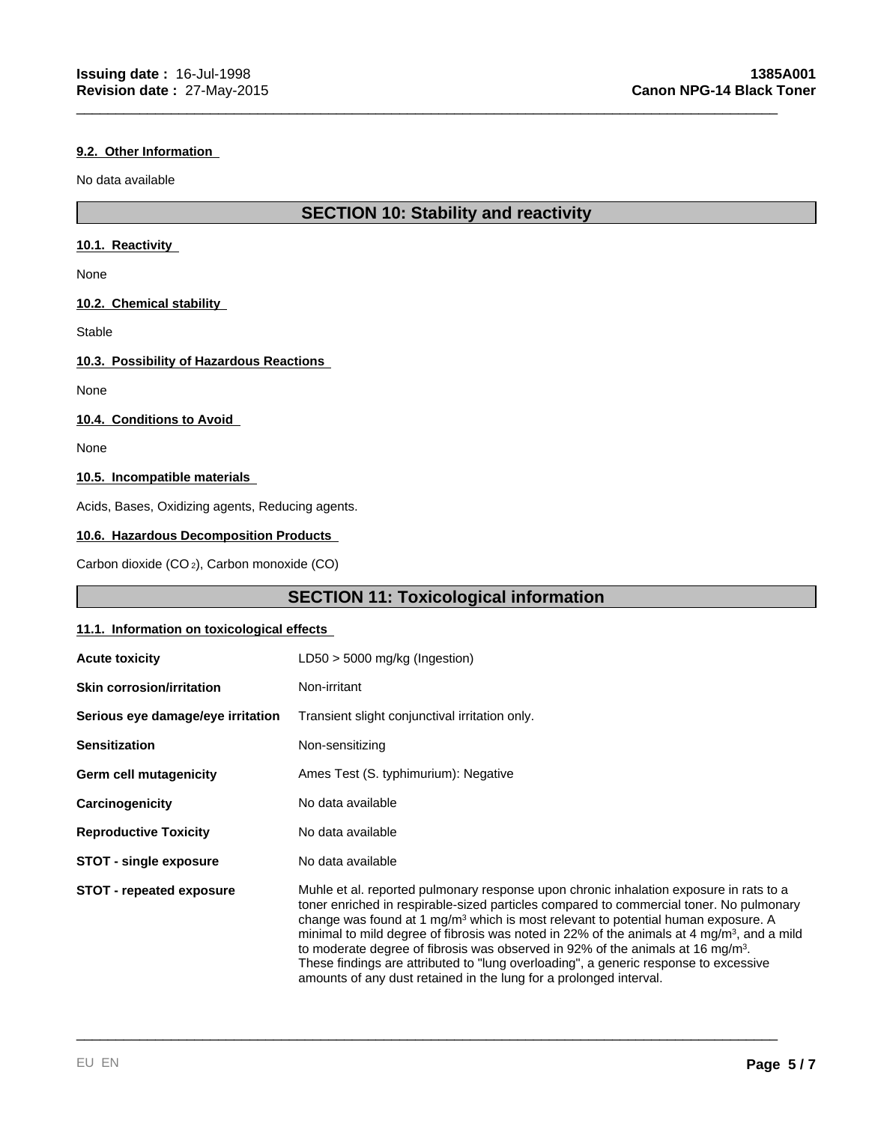#### **9.2. Other Information**

No data available

# **SECTION 10: Stability and reactivity**

\_\_\_\_\_\_\_\_\_\_\_\_\_\_\_\_\_\_\_\_\_\_\_\_\_\_\_\_\_\_\_\_\_\_\_\_\_\_\_\_\_\_\_\_\_\_\_\_\_\_\_\_\_\_\_\_\_\_\_\_\_\_\_\_\_\_\_\_\_\_\_\_\_\_\_\_\_\_\_\_\_\_\_\_\_\_\_\_\_

#### **10.1. Reactivity**

None

#### **10.2. Chemical stability**

Stable

#### **10.3. Possibility of Hazardous Reactions**

None

#### **10.4. Conditions to Avoid**

None

#### **10.5. Incompatible materials**

Acids, Bases, Oxidizing agents, Reducing agents.

#### **10.6. Hazardous Decomposition Products**

Carbon dioxide (CO 2), Carbon monoxide (CO)

# **SECTION 11: Toxicological information**

#### **11.1. Information on toxicological effects**

| <b>Acute toxicity</b>             | $LD50 > 5000$ mg/kg (Ingestion)                                                                                                                                                                                                                                                                                                                                                                                                                                                                                                                                                                                                                 |
|-----------------------------------|-------------------------------------------------------------------------------------------------------------------------------------------------------------------------------------------------------------------------------------------------------------------------------------------------------------------------------------------------------------------------------------------------------------------------------------------------------------------------------------------------------------------------------------------------------------------------------------------------------------------------------------------------|
| <b>Skin corrosion/irritation</b>  | Non-irritant                                                                                                                                                                                                                                                                                                                                                                                                                                                                                                                                                                                                                                    |
| Serious eye damage/eye irritation | Transient slight conjunctival irritation only.                                                                                                                                                                                                                                                                                                                                                                                                                                                                                                                                                                                                  |
| <b>Sensitization</b>              | Non-sensitizing                                                                                                                                                                                                                                                                                                                                                                                                                                                                                                                                                                                                                                 |
| <b>Germ cell mutagenicity</b>     | Ames Test (S. typhimurium): Negative                                                                                                                                                                                                                                                                                                                                                                                                                                                                                                                                                                                                            |
| Carcinogenicity                   | No data available                                                                                                                                                                                                                                                                                                                                                                                                                                                                                                                                                                                                                               |
| <b>Reproductive Toxicity</b>      | No data available                                                                                                                                                                                                                                                                                                                                                                                                                                                                                                                                                                                                                               |
| STOT - single exposure            | No data available                                                                                                                                                                                                                                                                                                                                                                                                                                                                                                                                                                                                                               |
| <b>STOT - repeated exposure</b>   | Muhle et al. reported pulmonary response upon chronic inhalation exposure in rats to a<br>toner enriched in respirable-sized particles compared to commercial toner. No pulmonary<br>change was found at 1 $mg/m3$ which is most relevant to potential human exposure. A<br>minimal to mild degree of fibrosis was noted in 22% of the animals at 4 mg/m <sup>3</sup> , and a mild<br>to moderate degree of fibrosis was observed in 92% of the animals at 16 mg/m <sup>3</sup> .<br>These findings are attributed to "lung overloading", a generic response to excessive<br>amounts of any dust retained in the lung for a prolonged interval. |

\_\_\_\_\_\_\_\_\_\_\_\_\_\_\_\_\_\_\_\_\_\_\_\_\_\_\_\_\_\_\_\_\_\_\_\_\_\_\_\_\_\_\_\_\_\_\_\_\_\_\_\_\_\_\_\_\_\_\_\_\_\_\_\_\_\_\_\_\_\_\_\_\_\_\_\_\_\_\_\_\_\_\_\_\_\_\_\_\_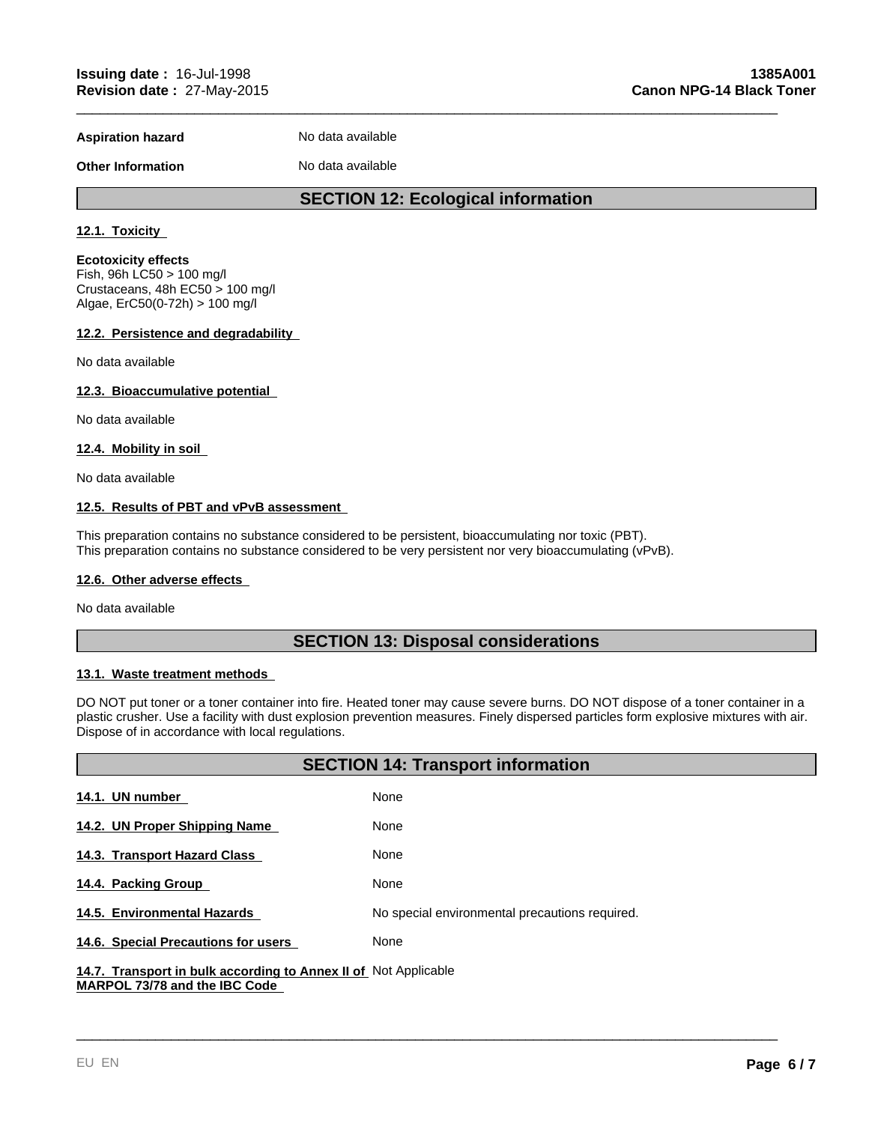**Aspiration hazard** No data available

**Other Information** No data available

# **SECTION 12: Ecological information**

\_\_\_\_\_\_\_\_\_\_\_\_\_\_\_\_\_\_\_\_\_\_\_\_\_\_\_\_\_\_\_\_\_\_\_\_\_\_\_\_\_\_\_\_\_\_\_\_\_\_\_\_\_\_\_\_\_\_\_\_\_\_\_\_\_\_\_\_\_\_\_\_\_\_\_\_\_\_\_\_\_\_\_\_\_\_\_\_\_

#### **12.1. Toxicity**

**Ecotoxicity effects** Fish, 96h LC50 > 100 mg/l

Crustaceans, 48h EC50 > 100 mg/l Algae, ErC50(0-72h) > 100 mg/l

#### **12.2. Persistence and degradability**

No data available

### **12.3. Bioaccumulative potential**

No data available

#### **12.4. Mobility in soil**

No data available

#### **12.5. Results of PBT and vPvB assessment**

This preparation contains no substance considered to be persistent, bioaccumulating nor toxic (PBT). This preparation contains no substance considered to be very persistent nor very bioaccumulating (vPvB).

#### **12.6. Other adverse effects**

No data available

# **SECTION 13: Disposal considerations**

#### **13.1. Waste treatment methods**

DO NOT put toner or a toner container into fire. Heated toner may cause severe burns. DO NOT dispose of a toner container in a plastic crusher. Use a facility with dust explosion prevention measures. Finely dispersed particles form explosive mixtures with air. Dispose of in accordance with local regulations.

| <b>SECTION 14: Transport information</b>                                                   |                                                |  |  |
|--------------------------------------------------------------------------------------------|------------------------------------------------|--|--|
| 14.1. UN number                                                                            | None                                           |  |  |
| 14.2. UN Proper Shipping Name                                                              | None                                           |  |  |
| 14.3. Transport Hazard Class                                                               | None                                           |  |  |
| 14.4. Packing Group                                                                        | None                                           |  |  |
| 14.5. Environmental Hazards                                                                | No special environmental precautions required. |  |  |
| 14.6. Special Precautions for users                                                        | None                                           |  |  |
| A A T . There are not be truthered a send by a true for the state of A bet A well as below |                                                |  |  |

\_\_\_\_\_\_\_\_\_\_\_\_\_\_\_\_\_\_\_\_\_\_\_\_\_\_\_\_\_\_\_\_\_\_\_\_\_\_\_\_\_\_\_\_\_\_\_\_\_\_\_\_\_\_\_\_\_\_\_\_\_\_\_\_\_\_\_\_\_\_\_\_\_\_\_\_\_\_\_\_\_\_\_\_\_\_\_\_\_

14.7. Transport in bulk according to Annex II of Not Applicable **MARPOL 73/78 and the IBC Code**